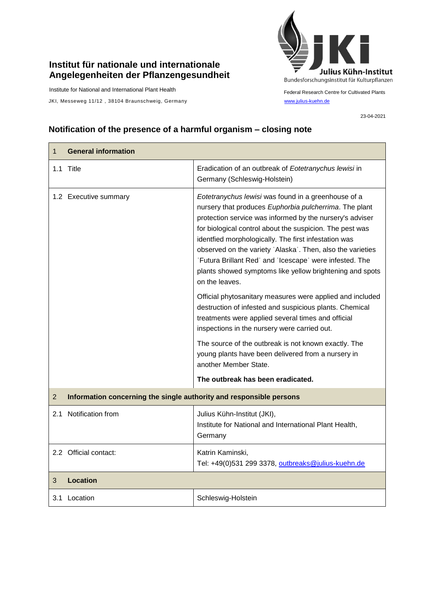## **Institut für nationale und internationale Angelegenheiten der Pflanzengesundheit**

Institute for National and International Plant Health

JKI, Messeweg 11/12, 38104 Braunschweig, Germany [www.julius-kuehn.de](http://www.julius-kuehn.de/)



Federal Research Centre for Cultivated Plants

23-04-2021

## **Notification of the presence of a harmful organism – closing note**

| <b>General information</b><br>1                                                       |                                                                                                                                                                                                                                                                                                                                                                                                                                                                                                      |
|---------------------------------------------------------------------------------------|------------------------------------------------------------------------------------------------------------------------------------------------------------------------------------------------------------------------------------------------------------------------------------------------------------------------------------------------------------------------------------------------------------------------------------------------------------------------------------------------------|
| 1.1 Title                                                                             | Eradication of an outbreak of Eotetranychus lewisi in<br>Germany (Schleswig-Holstein)                                                                                                                                                                                                                                                                                                                                                                                                                |
| 1.2 Executive summary                                                                 | Eotetranychus lewisi was found in a greenhouse of a<br>nursery that produces Euphorbia pulcherrima. The plant<br>protection service was informed by the nursery's adviser<br>for biological control about the suspicion. The pest was<br>identfied morphologically. The first infestation was<br>observed on the variety 'Alaska'. Then, also the varieties<br>'Futura Brillant Red' and 'Icescape' were infested. The<br>plants showed symptoms like yellow brightening and spots<br>on the leaves. |
|                                                                                       | Official phytosanitary measures were applied and included<br>destruction of infested and suspicious plants. Chemical<br>treatments were applied several times and official<br>inspections in the nursery were carried out.                                                                                                                                                                                                                                                                           |
|                                                                                       | The source of the outbreak is not known exactly. The<br>young plants have been delivered from a nursery in<br>another Member State.                                                                                                                                                                                                                                                                                                                                                                  |
|                                                                                       | The outbreak has been eradicated.                                                                                                                                                                                                                                                                                                                                                                                                                                                                    |
| $\overline{2}$<br>Information concerning the single authority and responsible persons |                                                                                                                                                                                                                                                                                                                                                                                                                                                                                                      |
| 2.1 Notification from                                                                 | Julius Kühn-Institut (JKI),<br>Institute for National and International Plant Health,<br>Germany                                                                                                                                                                                                                                                                                                                                                                                                     |
| 2.2 Official contact:                                                                 | Katrin Kaminski,<br>Tel: +49(0)531 299 3378, outbreaks@julius-kuehn.de                                                                                                                                                                                                                                                                                                                                                                                                                               |
| Location<br>3                                                                         |                                                                                                                                                                                                                                                                                                                                                                                                                                                                                                      |
| 3.1 Location                                                                          | Schleswig-Holstein                                                                                                                                                                                                                                                                                                                                                                                                                                                                                   |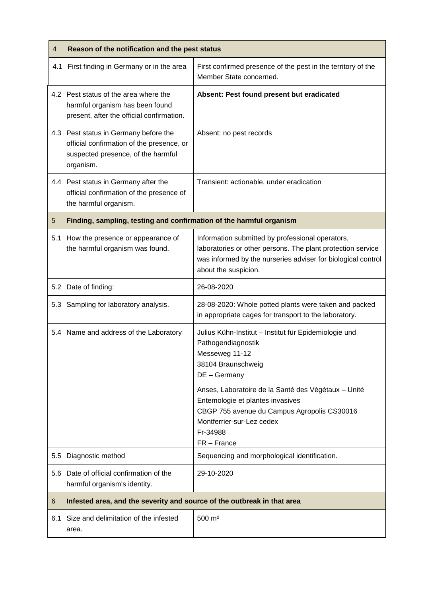| 4   | Reason of the notification and the pest status                                                                                        |                                                                                                                                                                                                         |
|-----|---------------------------------------------------------------------------------------------------------------------------------------|---------------------------------------------------------------------------------------------------------------------------------------------------------------------------------------------------------|
| 4.1 | First finding in Germany or in the area                                                                                               | First confirmed presence of the pest in the territory of the<br>Member State concerned.                                                                                                                 |
|     | 4.2 Pest status of the area where the<br>harmful organism has been found<br>present, after the official confirmation.                 | Absent: Pest found present but eradicated                                                                                                                                                               |
|     | 4.3 Pest status in Germany before the<br>official confirmation of the presence, or<br>suspected presence, of the harmful<br>organism. | Absent: no pest records                                                                                                                                                                                 |
|     | 4.4 Pest status in Germany after the<br>official confirmation of the presence of<br>the harmful organism.                             | Transient: actionable, under eradication                                                                                                                                                                |
| 5   | Finding, sampling, testing and confirmation of the harmful organism                                                                   |                                                                                                                                                                                                         |
|     | 5.1 How the presence or appearance of<br>the harmful organism was found.                                                              | Information submitted by professional operators,<br>laboratories or other persons. The plant protection service<br>was informed by the nurseries adviser for biological control<br>about the suspicion. |
|     | 5.2 Date of finding:                                                                                                                  | 26-08-2020                                                                                                                                                                                              |
|     | 5.3 Sampling for laboratory analysis.                                                                                                 | 28-08-2020: Whole potted plants were taken and packed<br>in appropriate cages for transport to the laboratory.                                                                                          |
|     | 5.4 Name and address of the Laboratory                                                                                                | Julius Kühn-Institut - Institut für Epidemiologie und<br>Pathogendiagnostik<br>Messeweg 11-12<br>38104 Braunschweig<br>DE - Germany                                                                     |
|     |                                                                                                                                       | Anses, Laboratoire de la Santé des Végétaux - Unité<br>Entemologie et plantes invasives<br>CBGP 755 avenue du Campus Agropolis CS30016<br>Montferrier-sur-Lez cedex<br>Fr-34988<br>FR-France            |
| 5.5 | Diagnostic method                                                                                                                     | Sequencing and morphological identification.                                                                                                                                                            |
|     | 5.6 Date of official confirmation of the<br>harmful organism's identity.                                                              | 29-10-2020                                                                                                                                                                                              |
| 6   | Infested area, and the severity and source of the outbreak in that area                                                               |                                                                                                                                                                                                         |
| 6.1 | Size and delimitation of the infested<br>area.                                                                                        | 500 m <sup>2</sup>                                                                                                                                                                                      |